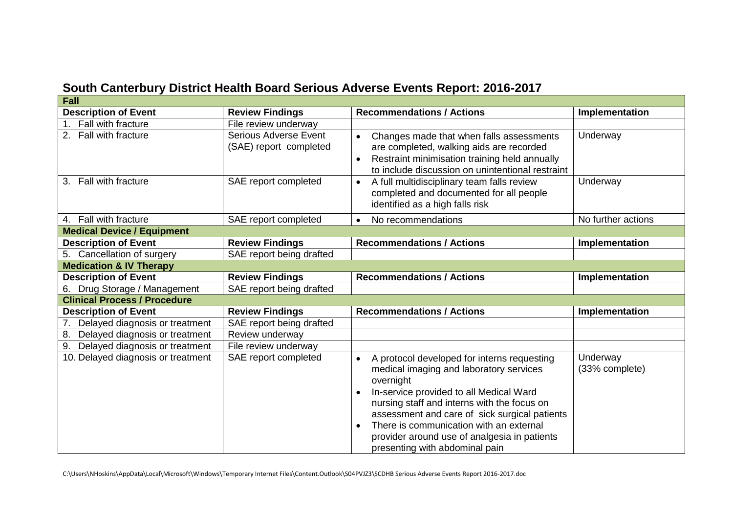| South Canterbury District Health Board Serious Adverse Events Report: 2016-2017 |
|---------------------------------------------------------------------------------|
|---------------------------------------------------------------------------------|

| <b>Fall</b>                                      |                          |                                                          |                    |  |
|--------------------------------------------------|--------------------------|----------------------------------------------------------|--------------------|--|
| <b>Description of Event</b>                      | <b>Review Findings</b>   | <b>Recommendations / Actions</b>                         | Implementation     |  |
| Fall with fracture<br>1 <sup>1</sup>             | File review underway     |                                                          |                    |  |
| 2. Fall with fracture                            | Serious Adverse Event    | Changes made that when falls assessments                 | Underway           |  |
|                                                  | (SAE) report completed   | are completed, walking aids are recorded                 |                    |  |
|                                                  |                          | Restraint minimisation training held annually            |                    |  |
|                                                  |                          | to include discussion on unintentional restraint         |                    |  |
| 3. Fall with fracture                            | SAE report completed     | A full multidisciplinary team falls review<br>$\bullet$  | Underway           |  |
|                                                  |                          | completed and documented for all people                  |                    |  |
|                                                  |                          | identified as a high falls risk                          |                    |  |
| 4. Fall with fracture                            | SAE report completed     | No recommendations                                       | No further actions |  |
| <b>Medical Device / Equipment</b>                |                          |                                                          |                    |  |
| <b>Description of Event</b>                      | <b>Review Findings</b>   | <b>Recommendations / Actions</b>                         | Implementation     |  |
| 5. Cancellation of surgery                       | SAE report being drafted |                                                          |                    |  |
| <b>Medication &amp; IV Therapy</b>               |                          |                                                          |                    |  |
| <b>Description of Event</b>                      | <b>Review Findings</b>   | <b>Recommendations / Actions</b>                         | Implementation     |  |
| Drug Storage / Management<br>6.                  | SAE report being drafted |                                                          |                    |  |
| <b>Clinical Process / Procedure</b>              |                          |                                                          |                    |  |
| <b>Description of Event</b>                      | <b>Review Findings</b>   | <b>Recommendations / Actions</b>                         | Implementation     |  |
| Delayed diagnosis or treatment<br>7 <sub>1</sub> | SAE report being drafted |                                                          |                    |  |
| 8. Delayed diagnosis or treatment                | Review underway          |                                                          |                    |  |
| Delayed diagnosis or treatment<br>9.             | File review underway     |                                                          |                    |  |
| 10. Delayed diagnosis or treatment               | SAE report completed     | A protocol developed for interns requesting<br>$\bullet$ | Underway           |  |
|                                                  |                          | medical imaging and laboratory services                  | (33% complete)     |  |
|                                                  |                          | overnight                                                |                    |  |
|                                                  |                          | In-service provided to all Medical Ward                  |                    |  |
|                                                  |                          | nursing staff and interns with the focus on              |                    |  |
|                                                  |                          | assessment and care of sick surgical patients            |                    |  |
|                                                  |                          | There is communication with an external                  |                    |  |
|                                                  |                          | provider around use of analgesia in patients             |                    |  |
|                                                  |                          | presenting with abdominal pain                           |                    |  |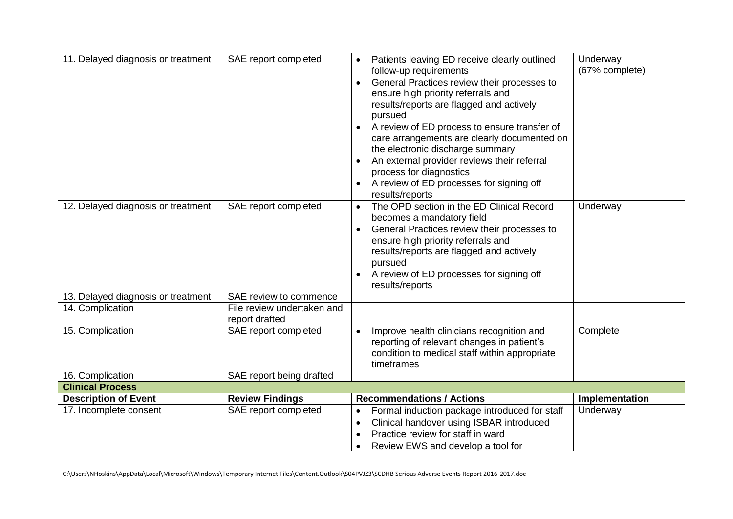| 11. Delayed diagnosis or treatment | SAE report completed                         | Patients leaving ED receive clearly outlined<br>follow-up requirements<br>General Practices review their processes to<br>$\bullet$<br>ensure high priority referrals and<br>results/reports are flagged and actively<br>pursued<br>A review of ED process to ensure transfer of<br>care arrangements are clearly documented on<br>the electronic discharge summary<br>An external provider reviews their referral<br>process for diagnostics<br>A review of ED processes for signing off<br>results/reports | Underway<br>(67% complete) |
|------------------------------------|----------------------------------------------|-------------------------------------------------------------------------------------------------------------------------------------------------------------------------------------------------------------------------------------------------------------------------------------------------------------------------------------------------------------------------------------------------------------------------------------------------------------------------------------------------------------|----------------------------|
| 12. Delayed diagnosis or treatment | SAE report completed                         | The OPD section in the ED Clinical Record<br>$\bullet$<br>becomes a mandatory field<br>General Practices review their processes to<br>$\bullet$<br>ensure high priority referrals and<br>results/reports are flagged and actively<br>pursued<br>A review of ED processes for signing off<br>results/reports                                                                                                                                                                                                 | Underway                   |
| 13. Delayed diagnosis or treatment | SAE review to commence                       |                                                                                                                                                                                                                                                                                                                                                                                                                                                                                                             |                            |
| 14. Complication                   | File review undertaken and<br>report drafted |                                                                                                                                                                                                                                                                                                                                                                                                                                                                                                             |                            |
| 15. Complication                   | SAE report completed                         | Improve health clinicians recognition and<br>$\bullet$<br>reporting of relevant changes in patient's<br>condition to medical staff within appropriate<br>timeframes                                                                                                                                                                                                                                                                                                                                         | Complete                   |
| 16. Complication                   | SAE report being drafted                     |                                                                                                                                                                                                                                                                                                                                                                                                                                                                                                             |                            |
| <b>Clinical Process</b>            |                                              |                                                                                                                                                                                                                                                                                                                                                                                                                                                                                                             |                            |
| <b>Description of Event</b>        | <b>Review Findings</b>                       | <b>Recommendations / Actions</b>                                                                                                                                                                                                                                                                                                                                                                                                                                                                            | Implementation             |
| 17. Incomplete consent             | SAE report completed                         | Formal induction package introduced for staff<br>Clinical handover using ISBAR introduced<br>$\bullet$<br>Practice review for staff in ward<br>Review EWS and develop a tool for                                                                                                                                                                                                                                                                                                                            | Underway                   |

C:\Users\NHoskins\AppData\Local\Microsoft\Windows\Temporary Internet Files\Content.Outlook\S04PVJZ3\SCDHB Serious Adverse Events Report 2016-2017.doc